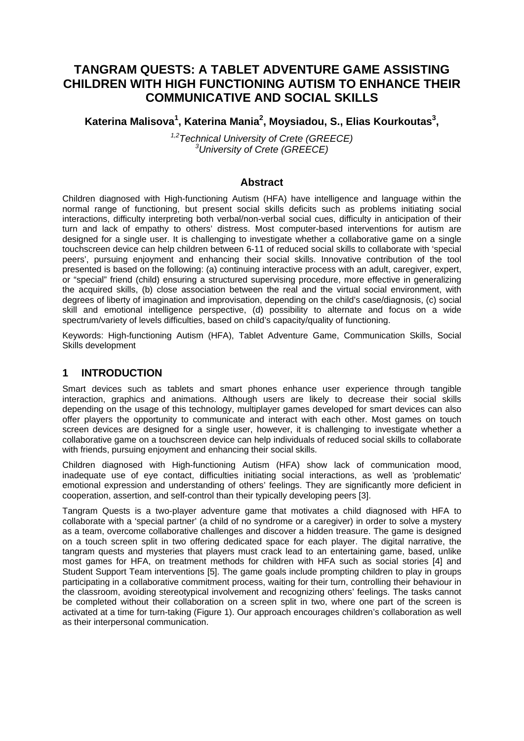# **TANGRAM QUESTS: A TABLET ADVENTURE GAME ASSISTING CHILDREN WITH HIGH FUNCTIONING AUTISM TO ENHANCE THEIR COMMUNICATIVE AND SOCIAL SKILLS**

## Katerina Malisova<sup>1</sup>, Katerina Mania<sup>2</sup>, Moysiadou, S., Elias Kourkoutas<sup>3</sup>,

*1,2Technical University of Crete (GREECE) 3 University of Crete (GREECE)* 

### **Abstract**

Children diagnosed with High-functioning Autism (HFA) have intelligence and language within the normal range of functioning, but present social skills deficits such as problems initiating social interactions, difficulty interpreting both verbal/non-verbal social cues, difficulty in anticipation of their turn and lack of empathy to others' distress. Most computer-based interventions for autism are designed for a single user. It is challenging to investigate whether a collaborative game on a single touchscreen device can help children between 6-11 of reduced social skills to collaborate with 'special peers', pursuing enjoyment and enhancing their social skills. Innovative contribution of the tool presented is based on the following: (a) continuing interactive process with an adult, caregiver, expert, or "special" friend (child) ensuring a structured supervising procedure, more effective in generalizing the acquired skills, (b) close association between the real and the virtual social environment, with degrees of liberty of imagination and improvisation, depending on the child's case/diagnosis, (c) social skill and emotional intelligence perspective, (d) possibility to alternate and focus on a wide spectrum/variety of levels difficulties, based on child's capacity/quality of functioning.

Keywords: High-functioning Autism (HFA), Tablet Adventure Game, Communication Skills, Social Skills development

### **1 INTRODUCTION**

Smart devices such as tablets and smart phones enhance user experience through tangible interaction, graphics and animations. Although users are likely to decrease their social skills depending on the usage of this technology, multiplayer games developed for smart devices can also offer players the opportunity to communicate and interact with each other. Most games on touch screen devices are designed for a single user, however, it is challenging to investigate whether a collaborative game on a touchscreen device can help individuals of reduced social skills to collaborate with friends, pursuing enjoyment and enhancing their social skills.

Children diagnosed with High-functioning Autism (HFA) show lack of communication mood, inadequate use of eye contact, difficulties initiating social interactions, as well as 'problematic' emotional expression and understanding of others' feelings. They are significantly more deficient in cooperation, assertion, and self-control than their typically developing peers [3].

Tangram Quests is a two-player adventure game that motivates a child diagnosed with HFA to collaborate with a 'special partner' (a child of no syndrome or a caregiver) in order to solve a mystery as a team, overcome collaborative challenges and discover a hidden treasure. The game is designed on a touch screen split in two offering dedicated space for each player. The digital narrative, the tangram quests and mysteries that players must crack lead to an entertaining game, based, unlike most games for HFA, on treatment methods for children with HFA such as social stories [4] and Student Support Team interventions [5]. The game goals include prompting children to play in groups participating in a collaborative commitment process, waiting for their turn, controlling their behaviour in the classroom, avoiding stereotypical involvement and recognizing others' feelings. The tasks cannot be completed without their collaboration on a screen split in two, where one part of the screen is activated at a time for turn-taking (Figure 1). Our approach encourages children's collaboration as well as their interpersonal communication.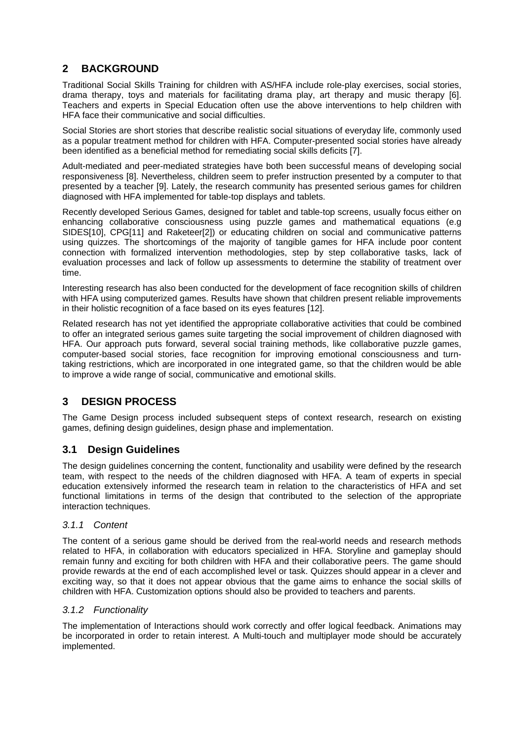## **2 BACKGROUND**

Traditional Social Skills Training for children with AS/HFA include role-play exercises, social stories, drama therapy, toys and materials for facilitating drama play, art therapy and music therapy [6]. Teachers and experts in Special Education often use the above interventions to help children with HFA face their communicative and social difficulties.

Social Stories are short stories that describe realistic social situations of everyday life, commonly used as a popular treatment method for children with HFA. Computer-presented social stories have already been identified as a beneficial method for remediating social skills deficits [7].

Adult-mediated and peer-mediated strategies have both been successful means of developing social responsiveness [8]. Nevertheless, children seem to prefer instruction presented by a computer to that presented by a teacher [9]. Lately, the research community has presented serious games for children diagnosed with HFA implemented for table-top displays and tablets.

Recently developed Serious Games, designed for tablet and table-top screens, usually focus either on enhancing collaborative consciousness using puzzle games and mathematical equations (e.g SIDES[10], CPG[11] and Raketeer[2]) or educating children on social and communicative patterns using quizzes. The shortcomings of the majority of tangible games for HFA include poor content connection with formalized intervention methodologies, step by step collaborative tasks, lack of evaluation processes and lack of follow up assessments to determine the stability of treatment over time.

Interesting research has also been conducted for the development of face recognition skills of children with HFA using computerized games. Results have shown that children present reliable improvements in their holistic recognition of a face based on its eyes features [12].

Related research has not yet identified the appropriate collaborative activities that could be combined to offer an integrated serious games suite targeting the social improvement of children diagnosed with HFA. Our approach puts forward, several social training methods, like collaborative puzzle games, computer-based social stories, face recognition for improving emotional consciousness and turntaking restrictions, which are incorporated in one integrated game, so that the children would be able to improve a wide range of social, communicative and emotional skills.

## **3 DESIGN PROCESS**

The Game Design process included subsequent steps of context research, research on existing games, defining design guidelines, design phase and implementation.

## **3.1 Design Guidelines**

The design guidelines concerning the content, functionality and usability were defined by the research team, with respect to the needs of the children diagnosed with HFA. A team of experts in special education extensively informed the research team in relation to the characteristics of HFA and set functional limitations in terms of the design that contributed to the selection of the appropriate interaction techniques.

### *3.1.1 Content*

The content of a serious game should be derived from the real-world needs and research methods related to HFA, in collaboration with educators specialized in HFA. Storyline and gameplay should remain funny and exciting for both children with HFA and their collaborative peers. The game should provide rewards at the end of each accomplished level or task. Quizzes should appear in a clever and exciting way, so that it does not appear obvious that the game aims to enhance the social skills of children with HFA. Customization options should also be provided to teachers and parents.

### *3.1.2 Functionality*

The implementation of Interactions should work correctly and offer logical feedback. Animations may be incorporated in order to retain interest. A Multi-touch and multiplayer mode should be accurately implemented.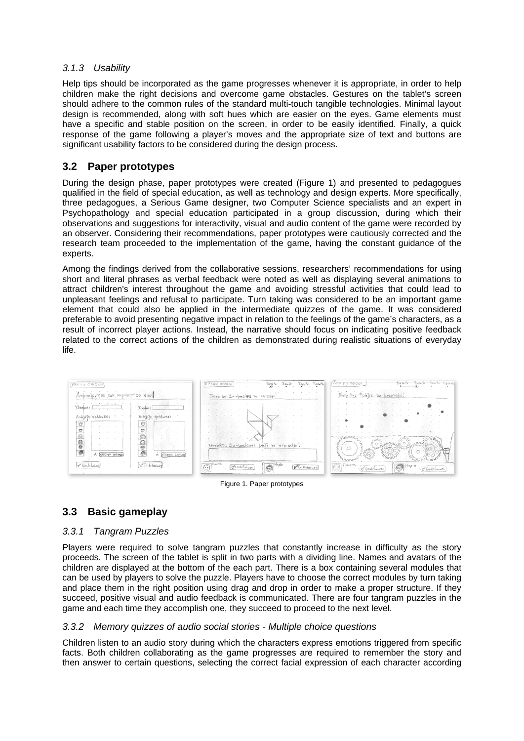#### *3.1.3 Usability*

Help tips should be incorporated as the game progresses whenever it is appropriate, in order to help children make the right decisions and overcome game obstacles. Gestures on the tablet's screen should adhere to the common rules of the standard multi-touch tangible technologies. Minimal layout design is recommended, along with soft hues which are easier on the eyes. Game elements must have a specific and stable position on the screen, in order to be easily identified. Finally, a quick response of the game following a player's moves and the appropriate size of text and buttons are significant usability factors to be considered during the design process.

### **3.2 Paper prototypes**

During the design phase, paper prototypes were created (Figure 1) and presented to pedagogues qualified in the field of special education, as well as technology and design experts. More specifically, three pedagogues, a Serious Game designer, two Computer Science specialists and an expert in Psychopathology and special education participated in a group discussion, during which their observations and suggestions for interactivity, visual and audio content of the game were recorded by an observer. Considering their recommendations, paper prototypes were cautiously corrected and the research team proceeded to the implementation of the game, having the constant guidance of the experts.

Among the findings derived from the collaborative sessions, researchers' recommendations for using short and literal phrases as verbal feedback were noted as well as displaying several animations to attract children's interest throughout the game and avoiding stressful activities that could lead to unpleasant feelings and refusal to participate. Turn taking was considered to be an important game element that could also be applied in the intermediate quizzes of the game. It was considered preferable to avoid presenting negative impact in relation to the feelings of the game's characters, as a result of incorrect player actions. Instead, the narrative should focus on indicating positive feedback related to the correct actions of the children as demonstrated during realistic situations of everyday life.



Figure 1. Paper prototypes

## **3.3 Basic gameplay**

#### *3.3.1 Tangram Puzzles*

Players were required to solve tangram puzzles that constantly increase in difficulty as the story proceeds. The screen of the tablet is split in two parts with a dividing line. Names and avatars of the children are displayed at the bottom of the each part. There is a box containing several modules that can be used by players to solve the puzzle. Players have to choose the correct modules by turn taking and place them in the right position using drag and drop in order to make a proper structure. If they succeed, positive visual and audio feedback is communicated. There are four tangram puzzles in the game and each time they accomplish one, they succeed to proceed to the next level.

#### *3.3.2 Memory quizzes of audio social stories - Multiple choice questions*

Children listen to an audio story during which the characters express emotions triggered from specific facts. Both children collaborating as the game progresses are required to remember the story and then answer to certain questions, selecting the correct facial expression of each character according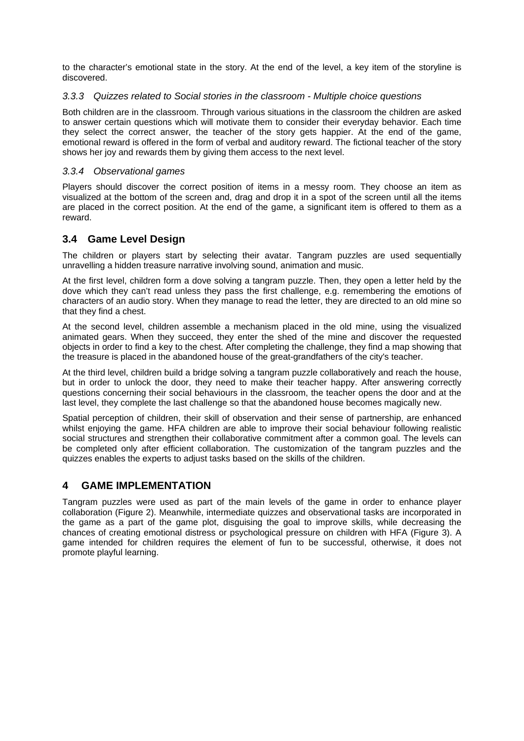to the character's emotional state in the story. At the end of the level, a key item of the storyline is discovered.

#### *3.3.3 Quizzes related to Social stories in the classroom - Multiple choice questions*

Both children are in the classroom. Through various situations in the classroom the children are asked to answer certain questions which will motivate them to consider their everyday behavior. Each time they select the correct answer, the teacher of the story gets happier. At the end of the game, emotional reward is offered in the form of verbal and auditory reward. The fictional teacher of the story shows her joy and rewards them by giving them access to the next level.

#### *3.3.4 Observational games*

Players should discover the correct position of items in a messy room. They choose an item as visualized at the bottom of the screen and, drag and drop it in a spot of the screen until all the items are placed in the correct position. At the end of the game, a significant item is offered to them as a reward.

### **3.4 Game Level Design**

The children or players start by selecting their avatar. Tangram puzzles are used sequentially unravelling a hidden treasure narrative involving sound, animation and music.

At the first level, children form a dove solving a tangram puzzle. Then, they open a letter held by the dove which they can't read unless they pass the first challenge, e.g. remembering the emotions of characters of an audio story. When they manage to read the letter, they are directed to an old mine so that they find a chest.

At the second level, children assemble a mechanism placed in the old mine, using the visualized animated gears. When they succeed, they enter the shed of the mine and discover the requested objects in order to find a key to the chest. After completing the challenge, they find a map showing that the treasure is placed in the abandoned house of the great-grandfathers of the city's teacher.

At the third level, children build a bridge solving a tangram puzzle collaboratively and reach the house, but in order to unlock the door, they need to make their teacher happy. After answering correctly questions concerning their social behaviours in the classroom, the teacher opens the door and at the last level, they complete the last challenge so that the abandoned house becomes magically new.

Spatial perception of children, their skill of observation and their sense of partnership, are enhanced whilst enjoying the game. HFA children are able to improve their social behaviour following realistic social structures and strengthen their collaborative commitment after a common goal. The levels can be completed only after efficient collaboration. The customization of the tangram puzzles and the quizzes enables the experts to adjust tasks based on the skills of the children.

### **4 GAME IMPLEMENTATION**

Tangram puzzles were used as part of the main levels of the game in order to enhance player collaboration (Figure 2). Meanwhile, intermediate quizzes and observational tasks are incorporated in the game as a part of the game plot, disguising the goal to improve skills, while decreasing the chances of creating emotional distress or psychological pressure on children with HFA (Figure 3). A game intended for children requires the element of fun to be successful, otherwise, it does not promote playful learning.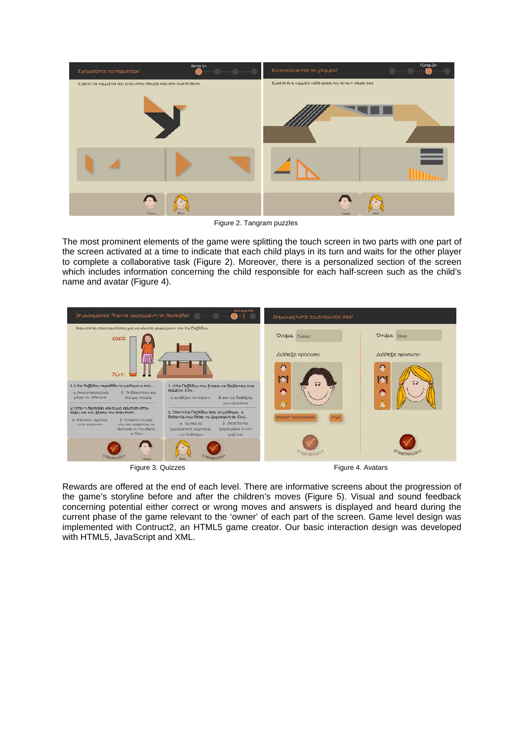

Figure 2. Tangram puzzles

The most prominent elements of the game were splitting the touch screen in two parts with one part of the screen activated at a time to indicate that each child plays in its turn and waits for the other player to complete a collaborative task (Figure 2). Moreover, there is a personalized section of the screen which includes information concerning the child responsible for each half-screen such as the child's name and avatar (Figure 4).



Figure 3. Quizzes **Figure 4.** Avatars

Rewards are offered at the end of each level. There are informative screens about the progression of the game's storyline before and after the children's moves (Figure 5). Visual and sound feedback concerning potential either correct or wrong moves and answers is displayed and heard during the current phase of the game relevant to the 'owner' of each part of the screen. Game level design was implemented with Contruct2, an HTML5 game creator. Our basic interaction design was developed with HTML5, JavaScript and XML.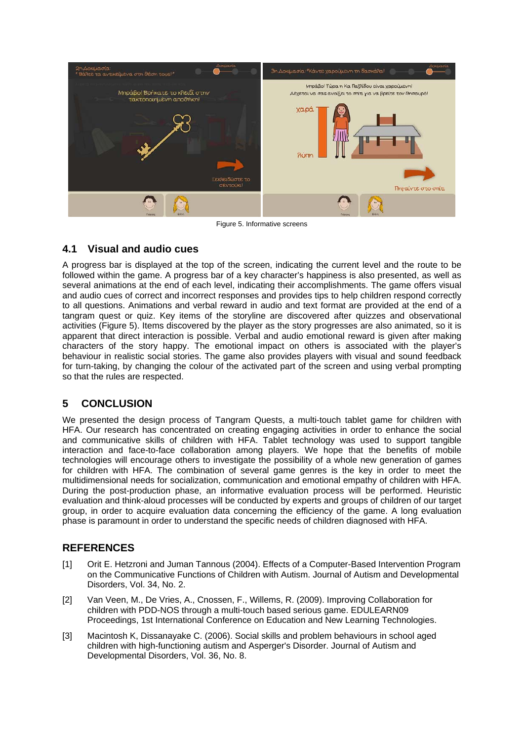

Figure 5. Informative screens

## **4.1 Visual and audio cues**

A progress bar is displayed at the top of the screen, indicating the current level and the route to be followed within the game. A progress bar of a key character's happiness is also presented, as well as several animations at the end of each level, indicating their accomplishments. The game offers visual and audio cues of correct and incorrect responses and provides tips to help children respond correctly to all questions. Animations and verbal reward in audio and text format are provided at the end of a tangram quest or quiz. Key items of the storyline are discovered after quizzes and observational activities (Figure 5). Items discovered by the player as the story progresses are also animated, so it is apparent that direct interaction is possible. Verbal and audio emotional reward is given after making characters of the story happy. The emotional impact on others is associated with the player's behaviour in realistic social stories. The game also provides players with visual and sound feedback for turn-taking, by changing the colour of the activated part of the screen and using verbal prompting so that the rules are respected.

## **5 CONCLUSION**

We presented the design process of Tangram Quests, a multi-touch tablet game for children with HFA. Our research has concentrated on creating engaging activities in order to enhance the social and communicative skills of children with HFA. Tablet technology was used to support tangible interaction and face-to-face collaboration among players. We hope that the benefits of mobile technologies will encourage others to investigate the possibility of a whole new generation of games for children with HFA. The combination of several game genres is the key in order to meet the multidimensional needs for socialization, communication and emotional empathy of children with HFA. During the post-production phase, an informative evaluation process will be performed. Heuristic evaluation and think-aloud processes will be conducted by experts and groups of children of our target group, in order to acquire evaluation data concerning the efficiency of the game. A long evaluation phase is paramount in order to understand the specific needs of children diagnosed with HFA.

## **REFERENCES**

- [1] Orit E. Hetzroni and Juman Tannous (2004). Effects of a Computer-Based Intervention Program on the Communicative Functions of Children with Autism. Journal of Autism and Developmental Disorders, Vol. 34, No. 2.
- [2] Van Veen, M., De Vries, A., Cnossen, F., Willems, R. (2009). Improving Collaboration for children with PDD-NOS through a multi-touch based serious game. EDULEARN09 Proceedings, 1st International Conference on Education and New Learning Technologies.
- [3] Macintosh K, Dissanayake C. (2006). Social skills and problem behaviours in school aged children with high-functioning autism and Asperger's Disorder. Journal of Autism and Developmental Disorders, Vol. 36, No. 8.